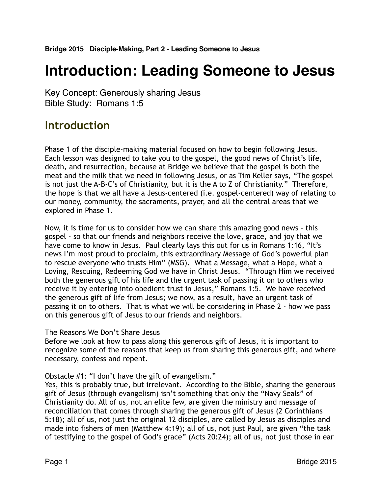# **Introduction: Leading Someone to Jesus**

Key Concept: Generously sharing Jesus Bible Study: Romans 1:5

# **Introduction**

Phase 1 of the disciple-making material focused on how to begin following Jesus. Each lesson was designed to take you to the gospel, the good news of Christ's life, death, and resurrection, because at Bridge we believe that the gospel is both the meat and the milk that we need in following Jesus, or as Tim Keller says, "The gospel is not just the A-B-C's of Christianity, but it is the A to Z of Christianity." Therefore, the hope is that we all have a Jesus-centered (i.e. gospel-centered) way of relating to our money, community, the sacraments, prayer, and all the central areas that we explored in Phase 1.

Now, it is time for us to consider how we can share this amazing good news - this gospel - so that our friends and neighbors receive the love, grace, and joy that we have come to know in Jesus. Paul clearly lays this out for us in Romans 1:16, "It's news I'm most proud to proclaim, this extraordinary Message of God's powerful plan to rescue everyone who trusts Him" (MSG). What a Message, what a Hope, what a Loving, Rescuing, Redeeming God we have in Christ Jesus. "Through Him we received both the generous gift of his life and the urgent task of passing it on to others who receive it by entering into obedient trust in Jesus," Romans 1:5. We have received the generous gift of life from Jesus; we now, as a result, have an urgent task of passing it on to others. That is what we will be considering in Phase 2 - how we pass on this generous gift of Jesus to our friends and neighbors.

#### The Reasons We Don't Share Jesus

Before we look at how to pass along this generous gift of Jesus, it is important to recognize some of the reasons that keep us from sharing this generous gift, and where necessary, confess and repent.

Obstacle #1: "I don't have the gift of evangelism."

Yes, this is probably true, but irrelevant. According to the Bible, sharing the generous gift of Jesus (through evangelism) isn't something that only the "Navy Seals" of Christianity do. All of us, not an elite few, are given the ministry and message of reconciliation that comes through sharing the generous gift of Jesus (2 Corinthians 5:18); all of us, not just the original 12 disciples, are called by Jesus as disciples and made into fishers of men (Matthew 4:19); all of us, not just Paul, are given "the task of testifying to the gospel of God's grace" (Acts 20:24); all of us, not just those in ear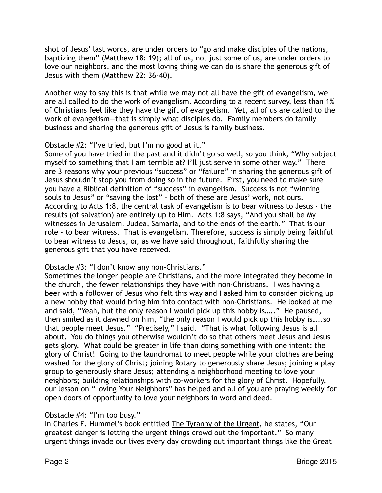shot of Jesus' last words, are under orders to "go and make disciples of the nations, baptizing them" (Matthew 18: 19); all of us, not just some of us, are under orders to love our neighbors, and the most loving thing we can do is share the generous gift of Jesus with them (Matthew 22: 36-40).

Another way to say this is that while we may not all have the gift of evangelism, we are all called to do the work of evangelism. According to a recent survey, less than 1% of Christians feel like they have the gift of evangelism. Yet, all of us are called to the work of evangelism—that is simply what disciples do. Family members do family business and sharing the generous gift of Jesus is family business.

## Obstacle #2: "I've tried, but I'm no good at it."

Some of you have tried in the past and it didn't go so well, so you think, "Why subject myself to something that I am terrible at? I'll just serve in some other way." There are 3 reasons why your previous "success" or "failure" in sharing the generous gift of Jesus shouldn't stop you from doing so in the future. First, you need to make sure you have a Biblical definition of "success" in evangelism. Success is not "winning souls to Jesus" or "saving the lost" - both of these are Jesus' work, not ours. According to Acts 1:8, the central task of evangelism is to bear witness to Jesus - the results (of salvation) are entirely up to Him. Acts 1:8 says, "And you shall be My witnesses in Jerusalem, Judea, Samaria, and to the ends of the earth." That is our role - to bear witness. That is evangelism. Therefore, success is simply being faithful to bear witness to Jesus, or, as we have said throughout, faithfully sharing the generous gift that you have received.

#### Obstacle #3: "I don't know any non-Christians."

Sometimes the longer people are Christians, and the more integrated they become in the church, the fewer relationships they have with non-Christians. I was having a beer with a follower of Jesus who felt this way and I asked him to consider picking up a new hobby that would bring him into contact with non-Christians. He looked at me and said, "Yeah, but the only reason I would pick up this hobby is….." He paused, then smiled as it dawned on him, "the only reason I would pick up this hobby is…..so that people meet Jesus." "Precisely," I said. "That is what following Jesus is all about. You do things you otherwise wouldn't do so that others meet Jesus and Jesus gets glory. What could be greater in life than doing something with one intent: the glory of Christ! Going to the laundromat to meet people while your clothes are being washed for the glory of Christ; joining Rotary to generously share Jesus; joining a play group to generously share Jesus; attending a neighborhood meeting to love your neighbors; building relationships with co-workers for the glory of Christ. Hopefully, our lesson on "Loving Your Neighbors" has helped and all of you are praying weekly for open doors of opportunity to love your neighbors in word and deed.

#### Obstacle #4: "I'm too busy."

In Charles E. Hummel's book entitled The Tyranny of the Urgent, he states, "Our greatest danger is letting the urgent things crowd out the important." So many urgent things invade our lives every day crowding out important things like the Great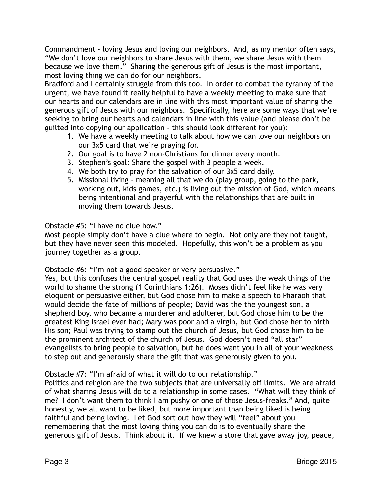Commandment - loving Jesus and loving our neighbors. And, as my mentor often says, "We don't love our neighbors to share Jesus with them, we share Jesus with them because we love them." Sharing the generous gift of Jesus is the most important, most loving thing we can do for our neighbors.

Bradford and I certainly struggle from this too. In order to combat the tyranny of the urgent, we have found it really helpful to have a weekly meeting to make sure that our hearts and our calendars are in line with this most important value of sharing the generous gift of Jesus with our neighbors. Specifically, here are some ways that we're seeking to bring our hearts and calendars in line with this value (and please don't be guilted into copying our application - this should look different for you):

- 1. We have a weekly meeting to talk about how we can love our neighbors on our 3x5 card that we're praying for.
- 2. Our goal is to have 2 non-Christians for dinner every month.
- 3. Stephen's goal: Share the gospel with 3 people a week.
- 4. We both try to pray for the salvation of our 3x5 card daily.
- 5. Missional living meaning all that we do (play group, going to the park, working out, kids games, etc.) is living out the mission of God, which means being intentional and prayerful with the relationships that are built in moving them towards Jesus.

Obstacle #5: "I have no clue how."

Most people simply don't have a clue where to begin. Not only are they not taught, but they have never seen this modeled. Hopefully, this won't be a problem as you journey together as a group.

Obstacle #6: "I'm not a good speaker or very persuasive."

Yes, but this confuses the central gospel reality that God uses the weak things of the world to shame the strong (1 Corinthians 1:26). Moses didn't feel like he was very eloquent or persuasive either, but God chose him to make a speech to Pharaoh that would decide the fate of millions of people; David was the the youngest son, a shepherd boy, who became a murderer and adulterer, but God chose him to be the greatest King Israel ever had; Mary was poor and a virgin, but God chose her to birth His son; Paul was trying to stamp out the church of Jesus, but God chose him to be the prominent architect of the church of Jesus. God doesn't need "all star" evangelists to bring people to salvation, but he does want you in all of your weakness to step out and generously share the gift that was generously given to you.

Obstacle #7: "I'm afraid of what it will do to our relationship."

Politics and religion are the two subjects that are universally off limits. We are afraid of what sharing Jesus will do to a relationship in some cases. "What will they think of me? I don't want them to think I am pushy or one of those Jesus-freaks." And, quite honestly, we all want to be liked, but more important than being liked is being faithful and being loving. Let God sort out how they will "feel" about you remembering that the most loving thing you can do is to eventually share the generous gift of Jesus. Think about it. If we knew a store that gave away joy, peace,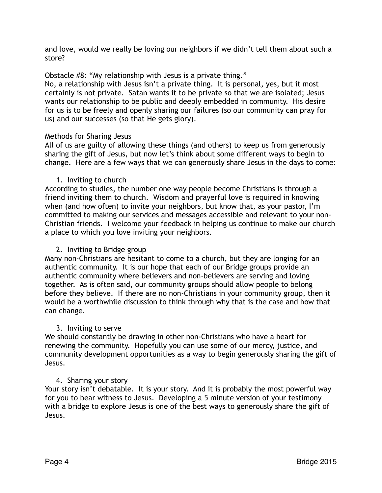and love, would we really be loving our neighbors if we didn't tell them about such a store?

Obstacle #8: "My relationship with Jesus is a private thing."

No, a relationship with Jesus isn't a private thing. It is personal, yes, but it most certainly is not private. Satan wants it to be private so that we are isolated; Jesus wants our relationship to be public and deeply embedded in community. His desire for us is to be freely and openly sharing our failures (so our community can pray for us) and our successes (so that He gets glory).

## Methods for Sharing Jesus

All of us are guilty of allowing these things (and others) to keep us from generously sharing the gift of Jesus, but now let's think about some different ways to begin to change. Here are a few ways that we can generously share Jesus in the days to come:

# 1. Inviting to church

According to studies, the number one way people become Christians is through a friend inviting them to church. Wisdom and prayerful love is required in knowing when (and how often) to invite your neighbors, but know that, as your pastor, I'm committed to making our services and messages accessible and relevant to your non-Christian friends. I welcome your feedback in helping us continue to make our church a place to which you love inviting your neighbors.

# 2. Inviting to Bridge group

Many non-Christians are hesitant to come to a church, but they are longing for an authentic community. It is our hope that each of our Bridge groups provide an authentic community where believers and non-believers are serving and loving together. As is often said, our community groups should allow people to belong before they believe. If there are no non-Christians in your community group, then it would be a worthwhile discussion to think through why that is the case and how that can change.

# 3. Inviting to serve

We should constantly be drawing in other non-Christians who have a heart for renewing the community. Hopefully you can use some of our mercy, justice, and community development opportunities as a way to begin generously sharing the gift of Jesus.

# 4. Sharing your story

Your story isn't debatable. It is your story. And it is probably the most powerful way for you to bear witness to Jesus. Developing a 5 minute version of your testimony with a bridge to explore Jesus is one of the best ways to generously share the gift of Jesus.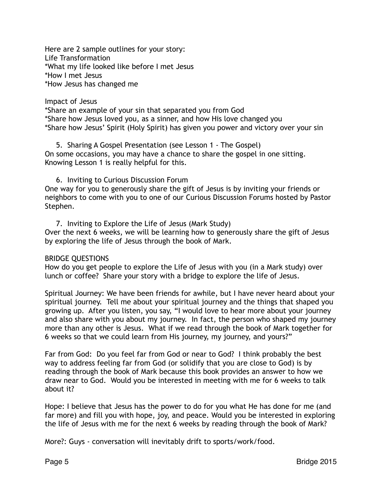Here are 2 sample outlines for your story: Life Transformation \*What my life looked like before I met Jesus \*How I met Jesus \*How Jesus has changed me

Impact of Jesus

\*Share an example of your sin that separated you from God \*Share how Jesus loved you, as a sinner, and how His love changed you \*Share how Jesus' Spirit (Holy Spirit) has given you power and victory over your sin

5. Sharing A Gospel Presentation (see Lesson 1 - The Gospel) On some occasions, you may have a chance to share the gospel in one sitting. Knowing Lesson 1 is really helpful for this.

6. Inviting to Curious Discussion Forum

One way for you to generously share the gift of Jesus is by inviting your friends or neighbors to come with you to one of our Curious Discussion Forums hosted by Pastor Stephen.

7. Inviting to Explore the Life of Jesus (Mark Study) Over the next 6 weeks, we will be learning how to generously share the gift of Jesus by exploring the life of Jesus through the book of Mark.

#### BRIDGE QUESTIONS

How do you get people to explore the Life of Jesus with you (in a Mark study) over lunch or coffee? Share your story with a bridge to explore the life of Jesus.

Spiritual Journey: We have been friends for awhile, but I have never heard about your spiritual journey. Tell me about your spiritual journey and the things that shaped you growing up. After you listen, you say, "I would love to hear more about your journey and also share with you about my journey. In fact, the person who shaped my journey more than any other is Jesus. What if we read through the book of Mark together for 6 weeks so that we could learn from His journey, my journey, and yours?"

Far from God: Do you feel far from God or near to God? I think probably the best way to address feeling far from God (or solidify that you are close to God) is by reading through the book of Mark because this book provides an answer to how we draw near to God. Would you be interested in meeting with me for 6 weeks to talk about it?

Hope: I believe that Jesus has the power to do for you what He has done for me (and far more) and fill you with hope, joy, and peace. Would you be interested in exploring the life of Jesus with me for the next 6 weeks by reading through the book of Mark?

More?: Guys - conversation will inevitably drift to sports/work/food.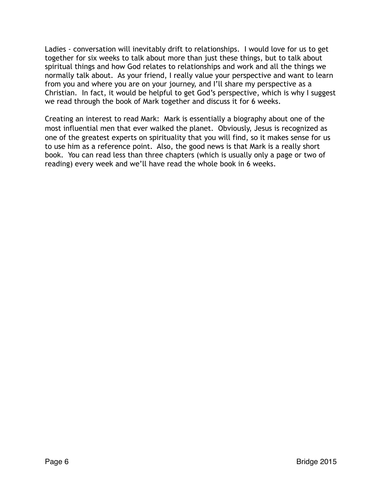Ladies - conversation will inevitably drift to relationships. I would love for us to get together for six weeks to talk about more than just these things, but to talk about spiritual things and how God relates to relationships and work and all the things we normally talk about. As your friend, I really value your perspective and want to learn from you and where you are on your journey, and I'll share my perspective as a Christian. In fact, it would be helpful to get God's perspective, which is why I suggest we read through the book of Mark together and discuss it for 6 weeks.

Creating an interest to read Mark: Mark is essentially a biography about one of the most influential men that ever walked the planet. Obviously, Jesus is recognized as one of the greatest experts on spirituality that you will find, so it makes sense for us to use him as a reference point. Also, the good news is that Mark is a really short book. You can read less than three chapters (which is usually only a page or two of reading) every week and we'll have read the whole book in 6 weeks.